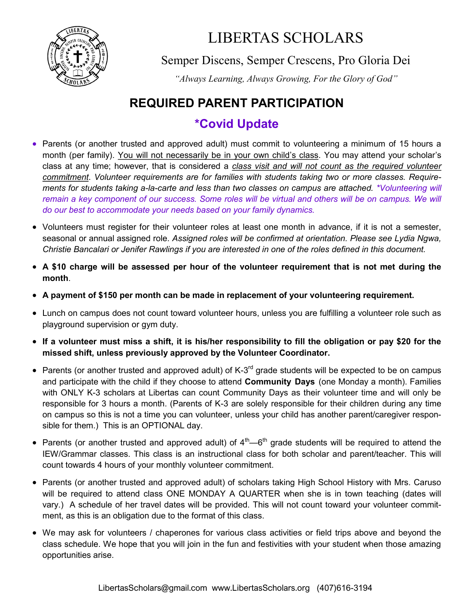

## LIBERTAS SCHOLARS

Semper Discens, Semper Crescens, Pro Gloria Dei

*"Always Learning, Always Growing, For the Glory of God"*

#### **REQUIRED PARENT PARTICIPATION**

#### **\*Covid Update**

- Parents (or another trusted and approved adult) must commit to volunteering a minimum of 15 hours a month (per family). You will not necessarily be in your own child's class. You may attend your scholar's class at any time; however, that is considered a *class visit and will not count as the required volunteer commitment*. *Volunteer requirements are for families with students taking two or more classes. Requirements for students taking a-la-carte and less than two classes on campus are attached. \*Volunteering will*  remain a key component of our success. Some roles will be virtual and others will be on campus. We will *do our best to accommodate your needs based on your family dynamics.*
- Volunteers must register for their volunteer roles at least one month in advance, if it is not a semester, seasonal or annual assigned role. *Assigned roles will be confirmed at orientation. Please see Lydia Ngwa, Christie Bancalari or Jenifer Rawlings if you are interested in one of the roles defined in this document.*
- **A \$10 charge will be assessed per hour of the volunteer requirement that is not met during the month**.
- **A payment of \$150 per month can be made in replacement of your volunteering requirement.**
- Lunch on campus does not count toward volunteer hours, unless you are fulfilling a volunteer role such as playground supervision or gym duty.
- **If a volunteer must miss a shift, it is his/her responsibility to fill the obligation or pay \$20 for the missed shift, unless previously approved by the Volunteer Coordinator.**
- Parents (or another trusted and approved adult) of K-3<sup>rd</sup> grade students will be expected to be on campus and participate with the child if they choose to attend **Community Days** (one Monday a month). Families with ONLY K-3 scholars at Libertas can count Community Days as their volunteer time and will only be responsible for 3 hours a month. (Parents of K-3 are solely responsible for their children during any time on campus so this is not a time you can volunteer, unless your child has another parent/caregiver responsible for them.) This is an OPTIONAL day.
- Parents (or another trusted and approved adult) of  $4^{\text{th}}$ —6<sup>th</sup> grade students will be required to attend the IEW/Grammar classes. This class is an instructional class for both scholar and parent/teacher. This will count towards 4 hours of your monthly volunteer commitment.
- Parents (or another trusted and approved adult) of scholars taking High School History with Mrs. Caruso will be required to attend class ONE MONDAY A QUARTER when she is in town teaching (dates will vary.) A schedule of her travel dates will be provided. This will not count toward your volunteer commitment, as this is an obligation due to the format of this class.
- We may ask for volunteers / chaperones for various class activities or field trips above and beyond the class schedule. We hope that you will join in the fun and festivities with your student when those amazing opportunities arise.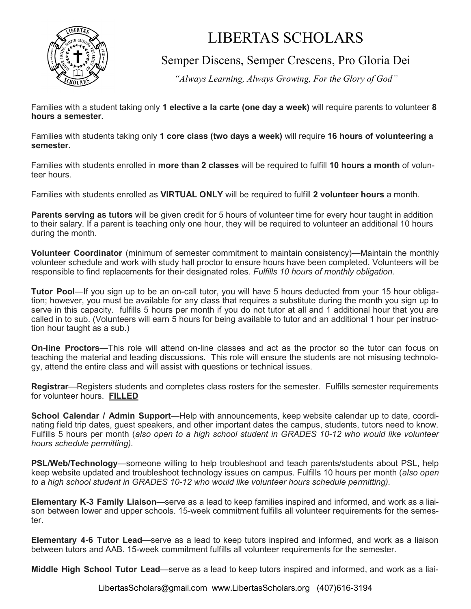

# LIBERTAS SCHOLARS

Semper Discens, Semper Crescens, Pro Gloria Dei

*"Always Learning, Always Growing, For the Glory of God"*

Families with a student taking only **1 elective a la carte (one day a week)** will require parents to volunteer **8 hours a semester.**

Families with students taking only **1 core class (two days a week)** will require **16 hours of volunteering a semester.**

Families with students enrolled in **more than 2 classes** will be required to fulfill **10 hours a month** of volunteer hours.

Families with students enrolled as **VIRTUAL ONLY** will be required to fulfill **2 volunteer hours** a month.

**Parents serving as tutors** will be given credit for 5 hours of volunteer time for every hour taught in addition to their salary. If a parent is teaching only one hour, they will be required to volunteer an additional 10 hours during the month.

**Volunteer Coordinator** (minimum of semester commitment to maintain consistency)—Maintain the monthly volunteer schedule and work with study hall proctor to ensure hours have been completed. Volunteers will be responsible to find replacements for their designated roles. *Fulfills 10 hours of monthly obligation.*

**Tutor Pool**—If you sign up to be an on-call tutor, you will have 5 hours deducted from your 15 hour obligation; however, you must be available for any class that requires a substitute during the month you sign up to serve in this capacity. fulfills 5 hours per month if you do not tutor at all and 1 additional hour that you are called in to sub. (Volunteers will earn 5 hours for being available to tutor and an additional 1 hour per instruction hour taught as a sub.)

**On-line Proctors**—This role will attend on-line classes and act as the proctor so the tutor can focus on teaching the material and leading discussions. This role will ensure the students are not misusing technology, attend the entire class and will assist with questions or technical issues.

**Registrar**—Registers students and completes class rosters for the semester. Fulfills semester requirements for volunteer hours. **FILLED**

**School Calendar / Admin Support**—Help with announcements, keep website calendar up to date, coordinating field trip dates, guest speakers, and other important dates the campus, students, tutors need to know. Fulfills 5 hours per month (*also open to a high school student in GRADES 10-12 who would like volunteer hours schedule permitting).*

**PSL/Web/Technology**—someone willing to help troubleshoot and teach parents/students about PSL, help keep website updated and troubleshoot technology issues on campus. Fulfills 10 hours per month (*also open to a high school student in GRADES 10-12 who would like volunteer hours schedule permitting).*

**Elementary K-3 Family Liaison**—serve as a lead to keep families inspired and informed, and work as a liaison between lower and upper schools. 15-week commitment fulfills all volunteer requirements for the semester.

**Elementary 4-6 Tutor Lead**—serve as a lead to keep tutors inspired and informed, and work as a liaison between tutors and AAB. 15-week commitment fulfills all volunteer requirements for the semester.

**Middle High School Tutor Lead**—serve as a lead to keep tutors inspired and informed, and work as a liai-

LibertasScholars@gmail.com www.LibertasScholars.org (407)616-3194